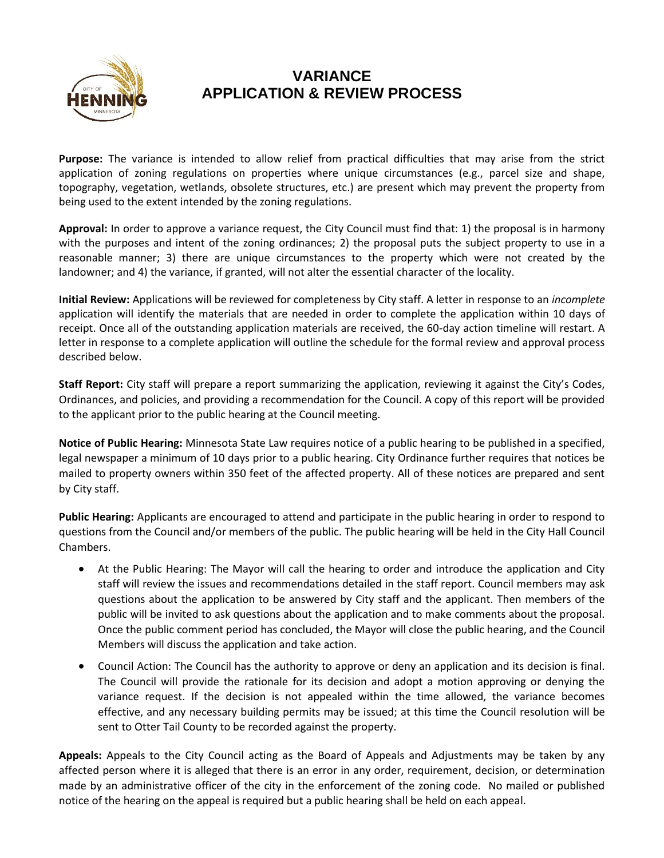

## **VARIANCE APPLICATION & REVIEW PROCESS**

**Purpose:** The variance is intended to allow relief from practical difficulties that may arise from the strict application of zoning regulations on properties where unique circumstances (e.g., parcel size and shape, topography, vegetation, wetlands, obsolete structures, etc.) are present which may prevent the property from being used to the extent intended by the zoning regulations.

**Approval:** In order to approve a variance request, the City Council must find that: 1) the proposal is in harmony with the purposes and intent of the zoning ordinances; 2) the proposal puts the subject property to use in a reasonable manner; 3) there are unique circumstances to the property which were not created by the landowner; and 4) the variance, if granted, will not alter the essential character of the locality.

**Initial Review:** Applications will be reviewed for completeness by City staff. A letter in response to an *incomplete*  application will identify the materials that are needed in order to complete the application within 10 days of receipt. Once all of the outstanding application materials are received, the 60-day action timeline will restart. A letter in response to a complete application will outline the schedule for the formal review and approval process described below.

**Staff Report:** City staff will prepare a report summarizing the application, reviewing it against the City's Codes, Ordinances, and policies, and providing a recommendation for the Council. A copy of this report will be provided to the applicant prior to the public hearing at the Council meeting.

**Notice of Public Hearing:** Minnesota State Law requires notice of a public hearing to be published in a specified, legal newspaper a minimum of 10 days prior to a public hearing. City Ordinance further requires that notices be mailed to property owners within 350 feet of the affected property. All of these notices are prepared and sent by City staff.

**Public Hearing:** Applicants are encouraged to attend and participate in the public hearing in order to respond to questions from the Council and/or members of the public. The public hearing will be held in the City Hall Council Chambers.

- At the Public Hearing: The Mayor will call the hearing to order and introduce the application and City staff will review the issues and recommendations detailed in the staff report. Council members may ask questions about the application to be answered by City staff and the applicant. Then members of the public will be invited to ask questions about the application and to make comments about the proposal. Once the public comment period has concluded, the Mayor will close the public hearing, and the Council Members will discuss the application and take action.
- Council Action: The Council has the authority to approve or deny an application and its decision is final. The Council will provide the rationale for its decision and adopt a motion approving or denying the variance request. If the decision is not appealed within the time allowed, the variance becomes effective, and any necessary building permits may be issued; at this time the Council resolution will be sent to Otter Tail County to be recorded against the property.

**Appeals:** Appeals to the City Council acting as the Board of Appeals and Adjustments may be taken by any affected person where it is alleged that there is an error in any order, requirement, decision, or determination made by an administrative officer of the city in the enforcement of the zoning code. No mailed or published notice of the hearing on the appeal is required but a public hearing shall be held on each appeal.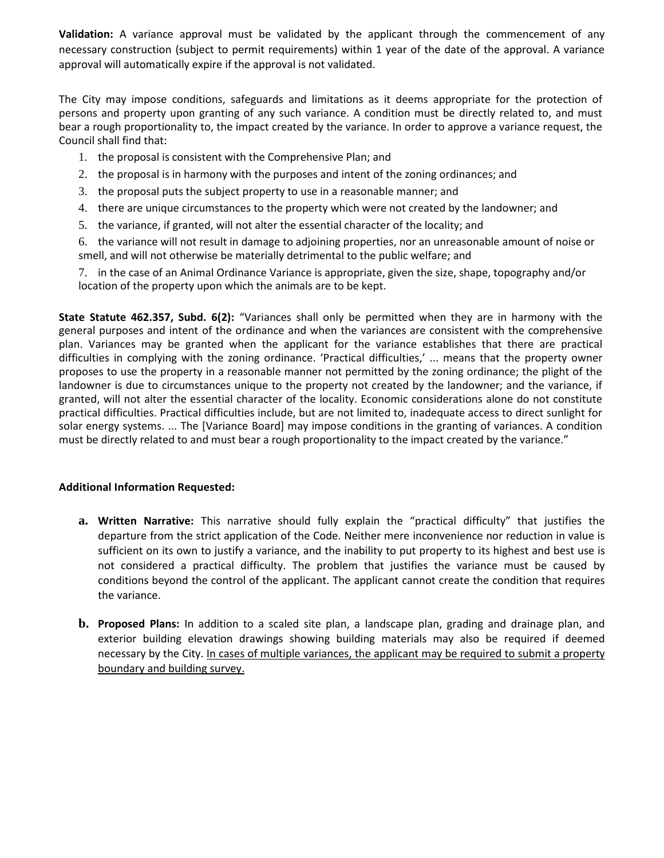**Validation:** A variance approval must be validated by the applicant through the commencement of any necessary construction (subject to permit requirements) within 1 year of the date of the approval. A variance approval will automatically expire if the approval is not validated.

The City may impose conditions, safeguards and limitations as it deems appropriate for the protection of persons and property upon granting of any such variance. A condition must be directly related to, and must bear a rough proportionality to, the impact created by the variance. In order to approve a variance request, the Council shall find that:

- 1. the proposal is consistent with the Comprehensive Plan; and
- 2. the proposal is in harmony with the purposes and intent of the zoning ordinances; and
- 3. the proposal puts the subject property to use in a reasonable manner; and
- 4. there are unique circumstances to the property which were not created by the landowner; and
- 5. the variance, if granted, will not alter the essential character of the locality; and

6. the variance will not result in damage to adjoining properties, nor an unreasonable amount of noise or smell, and will not otherwise be materially detrimental to the public welfare; and

7. in the case of an Animal Ordinance Variance is appropriate, given the size, shape, topography and/or location of the property upon which the animals are to be kept.

**State Statute 462.357, Subd. 6(2):** "Variances shall only be permitted when they are in harmony with the general purposes and intent of the ordinance and when the variances are consistent with the comprehensive plan. Variances may be granted when the applicant for the variance establishes that there are practical difficulties in complying with the zoning ordinance. 'Practical difficulties,' ... means that the property owner proposes to use the property in a reasonable manner not permitted by the zoning ordinance; the plight of the landowner is due to circumstances unique to the property not created by the landowner; and the variance, if granted, will not alter the essential character of the locality. Economic considerations alone do not constitute practical difficulties. Practical difficulties include, but are not limited to, inadequate access to direct sunlight for solar energy systems. ... The [Variance Board] may impose conditions in the granting of variances. A condition must be directly related to and must bear a rough proportionality to the impact created by the variance."

## **Additional Information Requested:**

- **a. Written Narrative:** This narrative should fully explain the "practical difficulty" that justifies the departure from the strict application of the Code. Neither mere inconvenience nor reduction in value is sufficient on its own to justify a variance, and the inability to put property to its highest and best use is not considered a practical difficulty. The problem that justifies the variance must be caused by conditions beyond the control of the applicant. The applicant cannot create the condition that requires the variance.
- **b. Proposed Plans:** In addition to a scaled site plan, a landscape plan, grading and drainage plan, and exterior building elevation drawings showing building materials may also be required if deemed necessary by the City. In cases of multiple variances, the applicant may be required to submit a property boundary and building survey.